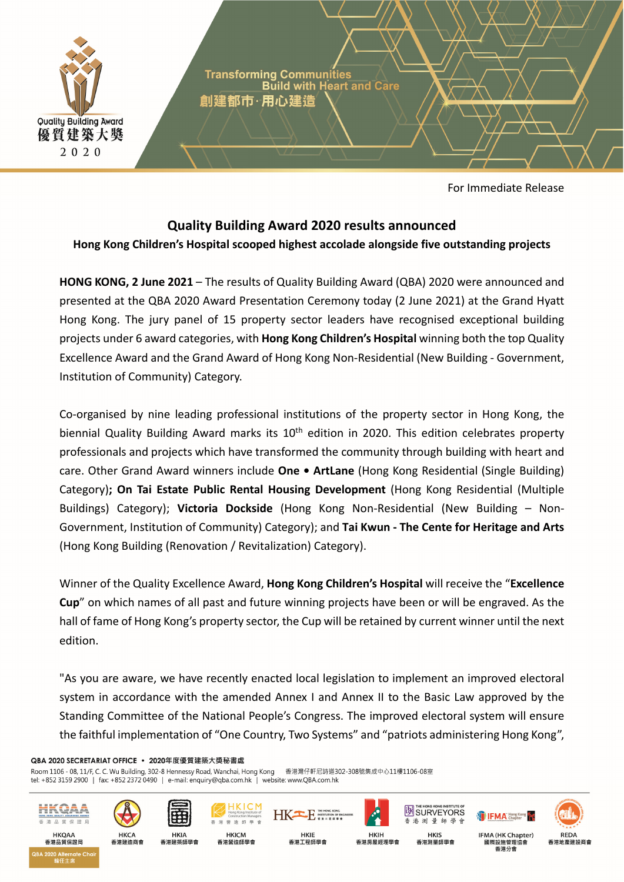

For Immediate Release

# **Quality Building Award 2020 results announced**

# **Hong Kong Children's Hospital scooped highest accolade alongside five outstanding projects**

**HONG KONG, 2 June 2021** – The results of Quality Building Award (QBA) 2020 were announced and presented at the QBA 2020 Award Presentation Ceremony today (2 June 2021) at the Grand Hyatt Hong Kong. The jury panel of 15 property sector leaders have recognised exceptional building projects under 6 award categories, with **Hong Kong Children's Hospital** winning both the top Quality Excellence Award and the Grand Award of Hong Kong Non‐Residential (New Building ‐ Government, Institution of Community) Category.

Co‐organised by nine leading professional institutions of the property sector in Hong Kong, the biennial Quality Building Award marks its 10<sup>th</sup> edition in 2020. This edition celebrates property professionals and projects which have transformed the community through building with heart and care. Other Grand Award winners include **One • ArtLane** (Hong Kong Residential (Single Building) Category)**; On Tai Estate Public Rental Housing Development** (Hong Kong Residential (Multiple Buildings) Category); **Victoria Dockside** (Hong Kong Non‐Residential (New Building – Non‐ Government, Institution of Community) Category); and **Tai Kwun ‐ The Cente for Heritage and Arts** (Hong Kong Building (Renovation / Revitalization) Category).

Winner of the Quality Excellence Award, **Hong Kong Children's Hospital** will receive the "**Excellence Cup**" on which names of all past and future winning projects have been or will be engraved. As the hall of fame of Hong Kong's property sector, the Cup will be retained by current winner until the next edition.

"As you are aware, we have recently enacted local legislation to implement an improved electoral system in accordance with the amended Annex I and Annex II to the Basic Law approved by the Standing Committee of the National People's Congress. The improved electoral system will ensure the faithful implementation of "One Country, Two Systems" and "patriots administering Hong Kong",

HK<sup>ER</sup> NSTITUTION OF EN

#### QBA 2020 SECRETARIAT OFFICE · 2020年度優質建築大獎秘書處

Room 1106 - 08, 11/F, C. C. Wu Building, 302-8 Hennessy Road, Wanchai, Hong Kong 香港灣仔軒尼詩道302-308號集成中心11樓1106-08室 tel: +852 3159 2900 | fax: +852 2372 0490 | e-mail: enquiry@qba.com.hk | website: www.QBA.com.hk



香港品質保證局

2020 Alternate Che



香港建造商會













國際設施管理協會 香港公會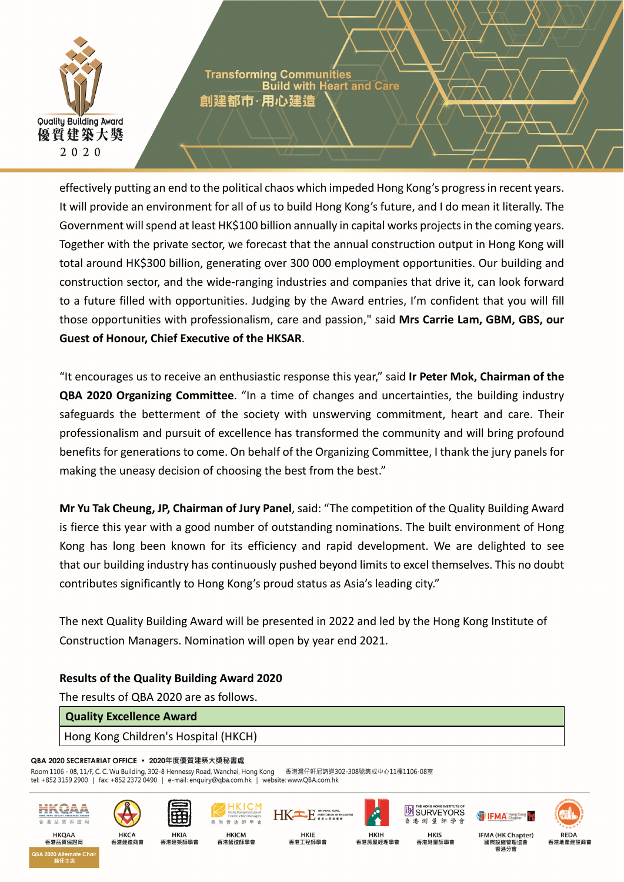

**Transforming Communities Build with Heart and Care** 創建都市・用心建造

effectively putting an end to the political chaos which impeded Hong Kong's progressin recent years. It will provide an environment for all of us to build Hong Kong's future, and I do mean it literally. The Government will spend at least HK\$100 billion annually in capital works projects in the coming years. Together with the private sector, we forecast that the annual construction output in Hong Kong will total around HK\$300 billion, generating over 300 000 employment opportunities. Our building and construction sector, and the wide‐ranging industries and companies that drive it, can look forward to a future filled with opportunities. Judging by the Award entries, I'm confident that you will fill those opportunities with professionalism, care and passion," said **Mrs Carrie Lam, GBM, GBS, our Guest of Honour, Chief Executive of the HKSAR**.

"It encourages us to receive an enthusiastic response this year," said **Ir Peter Mok, Chairman of the QBA 2020 Organizing Committee**. "In a time of changes and uncertainties, the building industry safeguards the betterment of the society with unswerving commitment, heart and care. Their professionalism and pursuit of excellence has transformed the community and will bring profound benefits for generations to come. On behalf of the Organizing Committee, I thank the jury panels for making the uneasy decision of choosing the best from the best."

**Mr Yu Tak Cheung, JP, Chairman of Jury Panel**, said: "The competition of the Quality Building Award is fierce this year with a good number of outstanding nominations. The built environment of Hong Kong has long been known for its efficiency and rapid development. We are delighted to see that our building industry has continuously pushed beyond limits to excel themselves. This no doubt contributes significantly to Hong Kong's proud status as Asia's leading city."

The next Quality Building Award will be presented in 2022 and led by the Hong Kong Institute of Construction Managers. Nomination will open by year end 2021.

**HKIE** 

香港工程師學會

# **Results of the Quality Building Award 2020**

The results of QBA 2020 are as follows.

## **Quality Excellence Award**

## Hong Kong Children's Hospital (HKCH)

#### QBA 2020 SECRETARIAT OFFICE · 2020年度優質建築大獎秘書處

香港建造商會

Room 1106 - 08, 11/F, C. C. Wu Building, 302-8 Hennessy Road, Wanchai, Hong Kong 香港灣仔軒尼詩道302-308號集成中心11樓1106-08室 tel: +852 3159 2900 | fax: +852 2372 0490 | e-mail: enquiry@qba.com.hk | website: www.QBA.com.hk



2020 Alternate Ch





香港建築師學會







**EN SURVEYORS** 

會





國際設施管理協會 香港公會

**IFMA** Chapter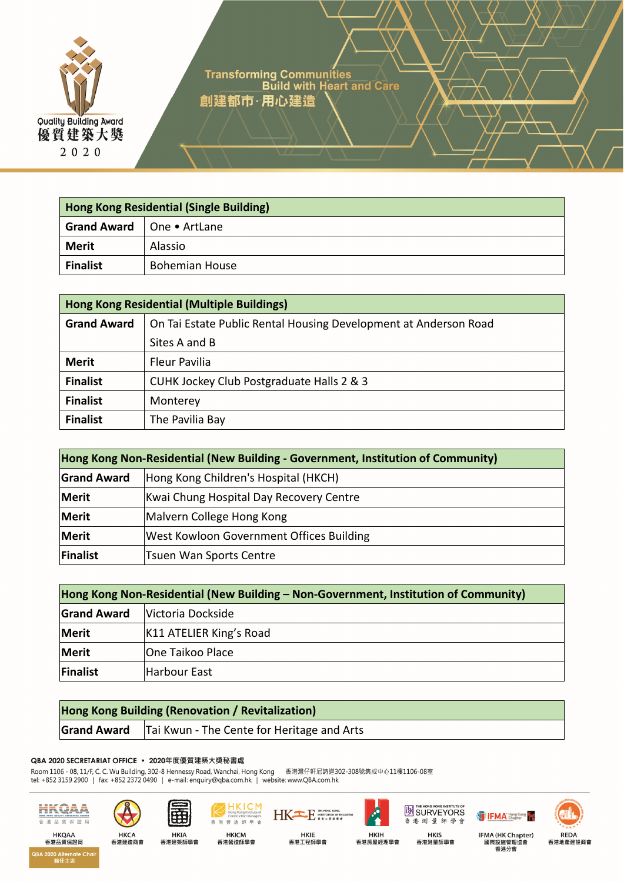

Transforming Communities Article Build with Heart and Care 創建都市·用心建造

**Hong Kong Residential (Single Building) Grand Award** One • ArtLane **Merit** Alassio **Finalist Bohemian House** 

| <b>Hong Kong Residential (Multiple Buildings)</b> |                                                                  |  |
|---------------------------------------------------|------------------------------------------------------------------|--|
| <b>Grand Award</b>                                | On Tai Estate Public Rental Housing Development at Anderson Road |  |
|                                                   | Sites A and B                                                    |  |
| <b>Merit</b>                                      | <b>Fleur Pavilia</b>                                             |  |
| <b>Finalist</b>                                   | CUHK Jockey Club Postgraduate Halls 2 & 3                        |  |
| <b>Finalist</b>                                   | Monterey                                                         |  |
| <b>Finalist</b>                                   | The Pavilia Bay                                                  |  |

| Hong Kong Non-Residential (New Building - Government, Institution of Community) |                                          |  |
|---------------------------------------------------------------------------------|------------------------------------------|--|
| <b>Grand Award</b>                                                              | Hong Kong Children's Hospital (HKCH)     |  |
| <b>Merit</b>                                                                    | Kwai Chung Hospital Day Recovery Centre  |  |
| Merit                                                                           | Malvern College Hong Kong                |  |
| Merit                                                                           | West Kowloon Government Offices Building |  |
| <b>Finalist</b>                                                                 | <b>Tsuen Wan Sports Centre</b>           |  |

| Hong Kong Non-Residential (New Building – Non-Government, Institution of Community) |                         |  |
|-------------------------------------------------------------------------------------|-------------------------|--|
| <b>Grand Award</b>                                                                  | Victoria Dockside       |  |
| <b>Merit</b>                                                                        | K11 ATELIER King's Road |  |
| <b>Merit</b>                                                                        | One Taikoo Place        |  |
| Finalist                                                                            | Harbour East            |  |

| <b>Hong Kong Building (Renovation / Revitalization)</b> |                                                                 |
|---------------------------------------------------------|-----------------------------------------------------------------|
|                                                         | <b>Grand Award</b>   Tai Kwun - The Cente for Heritage and Arts |

#### QBA 2020 SECRETARIAT OFFICE · 2020年度優質建築大獎秘書處

Room 1106 - 08, 11/F, C. C. Wu Building, 302-8 Hennessy Road, Wanchai, Hong Kong 香港灣仔軒尼詩道302-308號集成中心11樓1106-08室<br>tel: +852 3159 2900 | fax: +852 2372 0490 | e-mail: enquiry@qba.com.hk | website: www.QBA.com.hk

香



香港品質保證局 QBA 2020 Alternate Chai<br>輪任主席







 $K<sub>long</sub>$  K  $M<sub>long</sub>$  Kong Institute of







**IFMA** Hong Kong



HKIE<br>香港工程師學會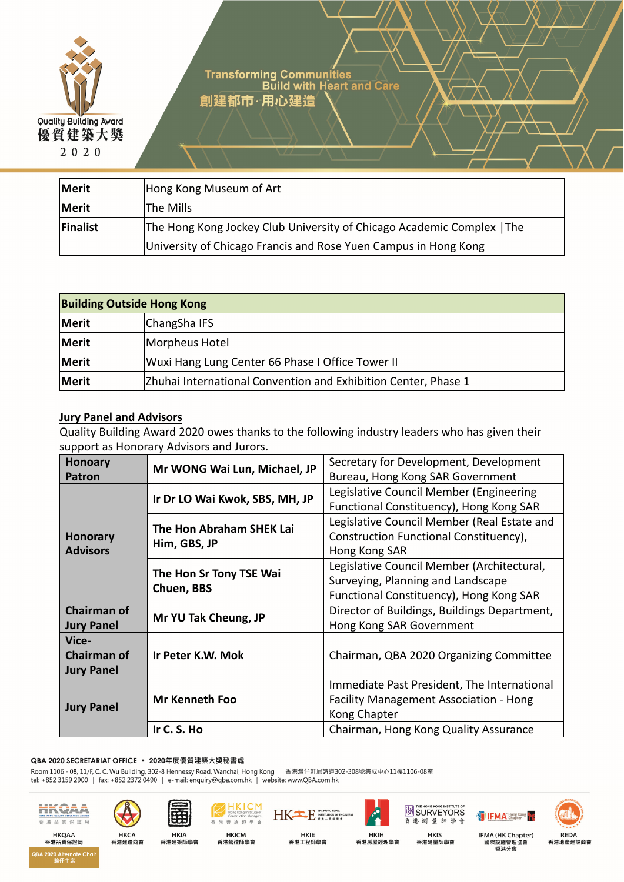

Transforming Communities<br>Build with Heart and Care 創建都市·用心建造

**Merit** Hong Kong Museum of Art **Merit** The Mills **Finalist** The Hong Kong Jockey Club University of Chicago Academic Complex | The University of Chicago Francis and Rose Yuen Campus in Hong Kong

| <b>Building Outside Hong Kong</b> |                                                                |  |
|-----------------------------------|----------------------------------------------------------------|--|
| Merit                             | ChangSha IFS                                                   |  |
| Merit                             | Morpheus Hotel                                                 |  |
| Merit                             | Wuxi Hang Lung Center 66 Phase I Office Tower II               |  |
| Merit                             | Zhuhai International Convention and Exhibition Center, Phase 1 |  |

# **Jury Panel and Advisors**

Quality Building Award 2020 owes thanks to the following industry leaders who has given their support as Honorary Advisors and Jurors.

| <b>Honoary</b><br><b>Patron</b>                  | Mr WONG Wai Lun, Michael, JP             | Secretary for Development, Development<br>Bureau, Hong Kong SAR Government                                                 |
|--------------------------------------------------|------------------------------------------|----------------------------------------------------------------------------------------------------------------------------|
| <b>Honorary</b><br><b>Advisors</b>               | Ir Dr LO Wai Kwok, SBS, MH, JP           | Legislative Council Member (Engineering<br>Functional Constituency), Hong Kong SAR                                         |
|                                                  | The Hon Abraham SHEK Lai<br>Him, GBS, JP | Legislative Council Member (Real Estate and<br>Construction Functional Constituency),<br>Hong Kong SAR                     |
|                                                  | The Hon Sr Tony TSE Wai<br>Chuen, BBS    | Legislative Council Member (Architectural,<br>Surveying, Planning and Landscape<br>Functional Constituency), Hong Kong SAR |
| <b>Chairman of</b><br><b>Jury Panel</b>          | Mr YU Tak Cheung, JP                     | Director of Buildings, Buildings Department,<br>Hong Kong SAR Government                                                   |
| Vice-<br><b>Chairman of</b><br><b>Jury Panel</b> | Ir Peter K.W. Mok                        | Chairman, QBA 2020 Organizing Committee                                                                                    |
| <b>Jury Panel</b>                                | Mr Kenneth Foo                           | Immediate Past President, The International<br>Facility Management Association - Hong<br>Kong Chapter                      |
|                                                  | Ir C. S. Ho                              | Chairman, Hong Kong Quality Assurance                                                                                      |

HKIE<br>香港工程師學會

QBA 2020 SECRETARIAT OFFICE · 2020年度優質建築大獎秘書處

Room 1106 - 08, 11/F, C. C. Wu Building, 302-8 Hennessy Road, Wanchai, Hong Kong 香港灣仔軒尼詩道302-308號集成中心11樓1106-08室<br>tel: +852 3159 2900 | fax: +852 2372 0490 | e-mail: enquiry@qba.com.hk | website: www.QBA.com.hk



香港品質保證局

.<br>QBA 2020 Alternate Cha







KICM







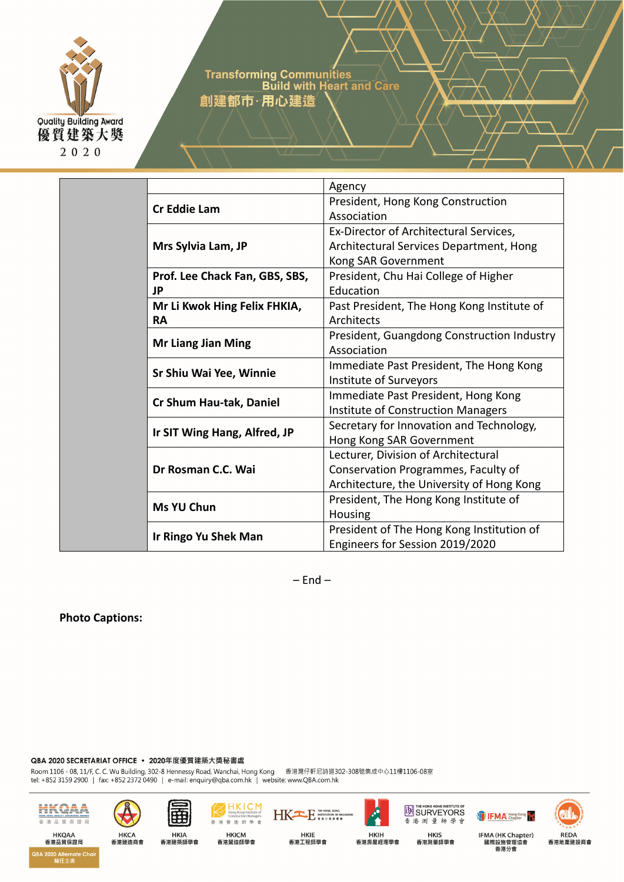

Transforming Communities Article Build with Heart and Care 創建都市·用心建造

|  |                                | Agency                                     |
|--|--------------------------------|--------------------------------------------|
|  | <b>Cr Eddie Lam</b>            | President, Hong Kong Construction          |
|  |                                | Association                                |
|  |                                | Ex-Director of Architectural Services,     |
|  | Mrs Sylvia Lam, JP             | Architectural Services Department, Hong    |
|  |                                | Kong SAR Government                        |
|  | Prof. Lee Chack Fan, GBS, SBS, | President, Chu Hai College of Higher       |
|  | JP                             | Education                                  |
|  | Mr Li Kwok Hing Felix FHKIA,   | Past President, The Hong Kong Institute of |
|  | <b>RA</b>                      | Architects                                 |
|  |                                | President, Guangdong Construction Industry |
|  | <b>Mr Liang Jian Ming</b>      | Association                                |
|  | Sr Shiu Wai Yee, Winnie        | Immediate Past President, The Hong Kong    |
|  |                                | Institute of Surveyors                     |
|  |                                | Immediate Past President, Hong Kong        |
|  | Cr Shum Hau-tak, Daniel        | <b>Institute of Construction Managers</b>  |
|  | Ir SIT Wing Hang, Alfred, JP   | Secretary for Innovation and Technology,   |
|  |                                | Hong Kong SAR Government                   |
|  |                                | Lecturer, Division of Architectural        |
|  | Dr Rosman C.C. Wai             | Conservation Programmes, Faculty of        |
|  |                                | Architecture, the University of Hong Kong  |
|  | <b>Ms YU Chun</b>              | President, The Hong Kong Institute of      |
|  |                                | Housing                                    |
|  | Ir Ringo Yu Shek Man           | President of The Hong Kong Institution of  |
|  |                                | Engineers for Session 2019/2020            |
|  |                                |                                            |

 $-$  End  $-$ 

HKIE<br>香港工程師學會

**Photo Captions:** 

QBA 2020 SECRETARIAT OFFICE · 2020年度優質建築大獎秘書處

Room 1106 - 08, 11/F, C. C. Wu Building, 302-8 Hennessy Road, Wanchai, Hong Kong 香港灣仔軒尼詩道302-308號集成中心11樓1106-08室<br>tel: +852 3159 2900 | fax: +852 2372 0490 | e-mail: enquiry@qba.com.hk | website: www.QBA.com.hk

香



香港品質保證局 QBA 2020 Alternate Chai<br>輪任主席





港營造師學會 HKICM<br>香港營造師學會

**KICM** 



香港測量師學會 HKIS<br>香港測量師學會

**SURVEYORS** 

IFMA (HK Chapter)<br>國際設施管理協會<br>香港分會



**IFMA** Hong Kong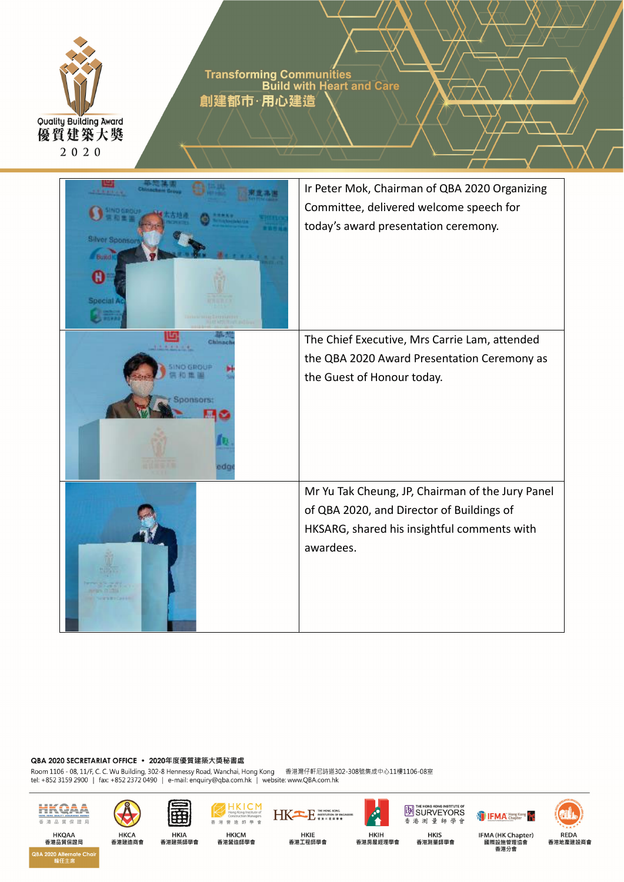

Transforming Communities<br>Build with Heart and Care 創建都市·用心建造



#### QBA 2020 SECRETARIAT OFFICE · 2020年度優質建築大獎秘書處

Room 1106 - 08, 11/F, C. C. Wu Building, 302-8 Hennessy Road, Wanchai, Hong Kong 香港灣仔軒尼詩道302-308號集成中心11樓1106-08室<br>tel: +852 3159 2900 | fax: +852 2372 0490 | e-mail: enquiry@qba.com.hk | website: www.QBA.com.hk



**HKQAA** 

香港品質保證局

2BA 2020 Alternate Cho





登





香港測量師學會 HKIS<br>香港測量師學會

**IN SURVEYORS** 

IFMA (HK Chapter) 國際設施管理協會 香港分會

**IFMA** Hong Kong

REDA<br>香港地產建設商會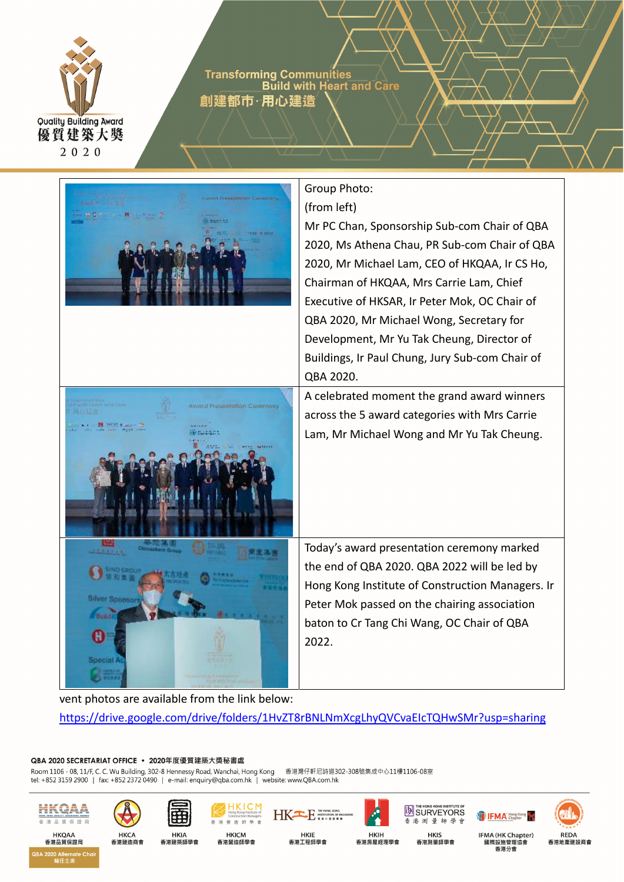

Transforming Communities<br>Build with Heart and Care 創建都市・用心建造



vent photos are available from the link below: https://drive.google.com/drive/folders/1HvZT8rBNLNmXcgLhyQVCvaEIcTQHwSMr?usp=sharing

**HKIE** 

香港工程師學會

#### QBA 2020 SECRETARIAT OFFICE · 2020年度優質建築大獎秘書處

Room 1106 - 08, 11/F, C. C. Wu Building, 302-8 Hennessy Road, Wanchai, Hong Kong 香港灣仔軒尼詩道302-308號集成中心11樓1106-08室 tel: +852 3159 2900 | fax: +852 2372 0490 | e-mail: enquiry@qba.com.hk | website: www.QBA.com.hk



香港品質保證局

2020 Alternate Ch



香港建造商會



**HKIA** 

香港建築師學會

墙 師 **HKICM** 香港營造師學會



香港測量師學 **HKIS** 香港測量師學會

**EN SURVEYORS** 





國際設施管理協會 香港分會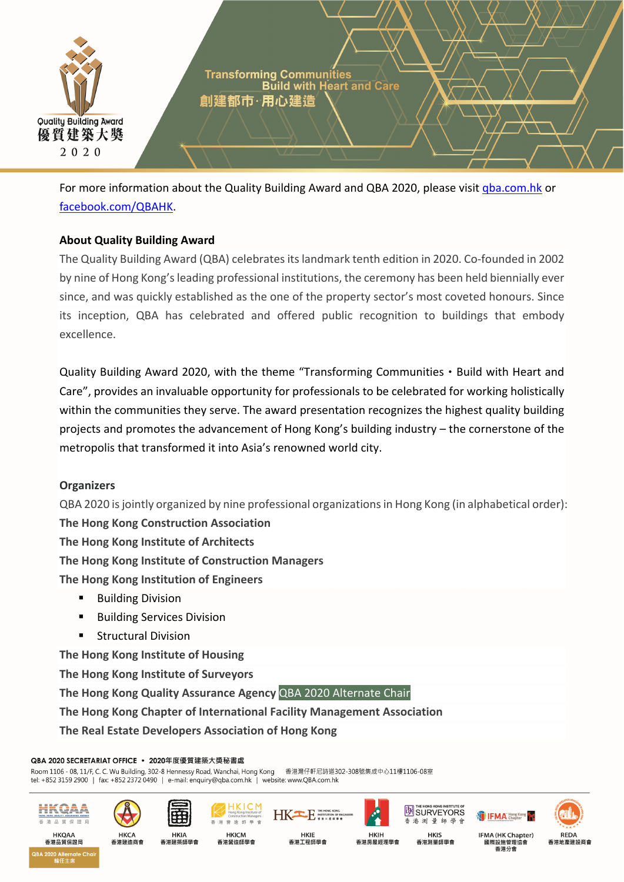

For more information about the Quality Building Award and QBA 2020, please visit gba.com.hk or facebook.com/QBAHK.

# **About Quality Building Award**

The Quality Building Award (QBA) celebrates its landmark tenth edition in 2020. Co-founded in 2002 by nine of Hong Kong'sleading professional institutions, the ceremony has been held biennially ever since, and was quickly established as the one of the property sector's most coveted honours. Since its inception, QBA has celebrated and offered public recognition to buildings that embody excellence.

Quality Building Award 2020, with the theme "Transforming Communities • Build with Heart and Care", provides an invaluable opportunity for professionals to be celebrated for working holistically within the communities they serve. The award presentation recognizes the highest quality building projects and promotes the advancement of Hong Kong's building industry – the cornerstone of the metropolis that transformed it into Asia's renowned world city.

## **Organizers**

QBA 2020 is jointly organized by nine professional organizations in Hong Kong (in alphabetical order):

**The Hong Kong Construction Association**

**The Hong Kong Institute of Architects**

**The Hong Kong Institute of Construction Managers**

**The Hong Kong Institution of Engineers**

- **Building Division**
- **Building Services Division**
- Structural Division

**The Hong Kong Institute of Housing**

**The Hong Kong Institute of Surveyors** 

**The Hong Kong Quality Assurance Agency** QBA 2020 Alternate Chair

**The Hong Kong Chapter of International Facility Management Association**

**The Real Estate Developers Association of Hong Kong**

#### QBA 2020 SECRETARIAT OFFICE · 2020年度優質建築大獎秘書處

Room 1106 - 08, 11/F, C. C. Wu Building, 302-8 Hennessy Road, Wanchai, Hong Kong 香港灣仔軒尼詩道302-308號集成中心11樓1106-08室 tel: +852 3159 2900 | fax: +852 2372 0490 | e-mail: enquiry@qba.com.hk | website: www.QBA.com.hk



香港品質保證局

4 2020 Alternate Ch



香港建造商會









**HKIE** 

香港工程師學會

香港測量師學 **HKIS** 香港測量師學會

**EN SURVEYORS** 



**IFMA** Chapter

**REDA** 香港地產建設商會